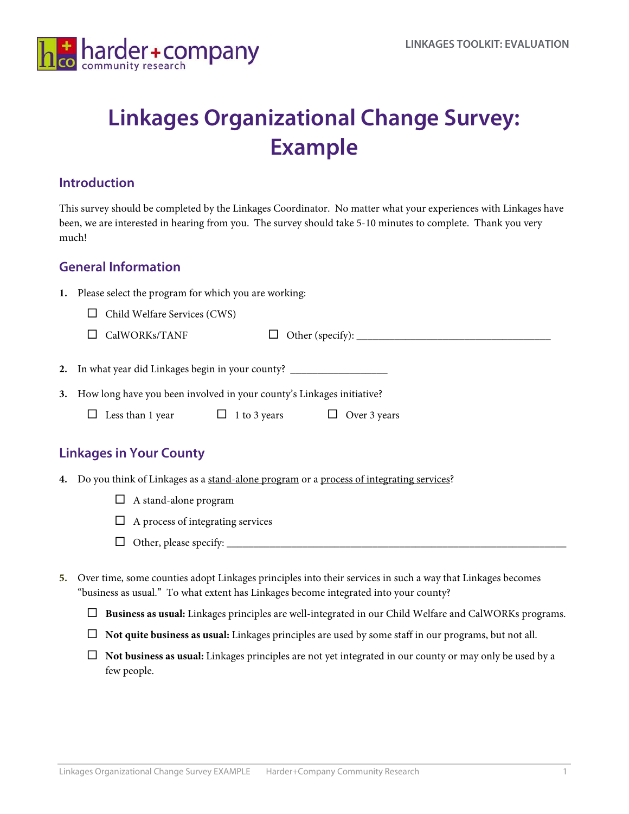

# **Linkages Organizational Change Survey: Example**

#### **Introduction**

This survey should be completed by the Linkages Coordinator. No matter what your experiences with Linkages have been, we are interested in hearing from you. The survey should take 5-10 minutes to complete. Thank you very much!

#### **General Information**

| 1. |  |  |  |  |  | Please select the program for which you are working: |
|----|--|--|--|--|--|------------------------------------------------------|
|----|--|--|--|--|--|------------------------------------------------------|

 $\Box$  Child Welfare Services (CWS)

|  | $\Box$ CalWORKs/TANF |  | Other (specify): |
|--|----------------------|--|------------------|
|--|----------------------|--|------------------|

**2.** In what year did Linkages begin in your county? \_\_\_\_\_\_\_\_\_\_\_\_\_\_\_\_\_\_

**3.** How long have you been involved in your county's Linkages initiative?

| $\Box$ Less than 1 year | $\Box$ 1 to 3 years | $\Box$ Over 3 years |
|-------------------------|---------------------|---------------------|
|-------------------------|---------------------|---------------------|

#### **Linkages in Your County**

- **4.** Do you think of Linkages as a stand-alone program or a process of integrating services?
	- $\Box$  A stand-alone program
	- $\Box$  A process of integrating services
	- Other, please specify: \_\_\_\_\_\_\_\_\_\_\_\_\_\_\_\_\_\_\_\_\_\_\_\_\_\_\_\_\_\_\_\_\_\_\_\_\_\_\_\_\_\_\_\_\_\_\_\_\_\_\_\_\_\_\_\_\_\_\_\_\_\_\_
- **5.** Over time, some counties adopt Linkages principles into their services in such a way that Linkages becomes "business as usual." To what extent has Linkages become integrated into your county?
	- **Business as usual:** Linkages principles are well-integrated in our Child Welfare and CalWORKs programs.
	- **Not quite business as usual:** Linkages principles are used by some staff in our programs, but not all.
	- **Not business as usual:** Linkages principles are not yet integrated in our county or may only be used by a few people.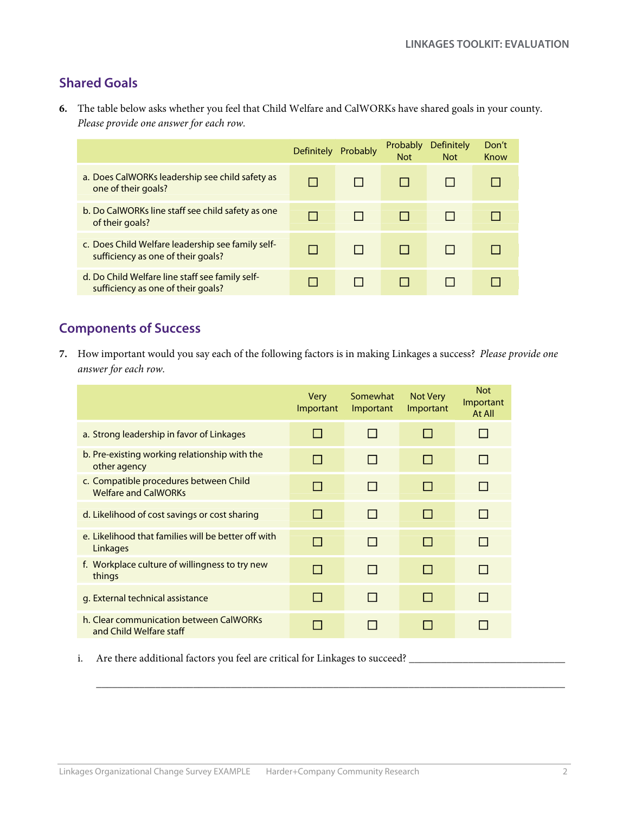### **Shared Goals**

**6.** The table below asks whether you feel that Child Welfare and CalWORKs have shared goals in your county. *Please provide one answer for each row.*

|                                                                                         | <b>Definitely</b> | Probably | Probably<br><b>Not</b> | Definitely<br><b>Not</b> | Don't<br>Know |
|-----------------------------------------------------------------------------------------|-------------------|----------|------------------------|--------------------------|---------------|
| a. Does CalWORKs leadership see child safety as<br>one of their goals?                  |                   |          |                        |                          |               |
| b. Do CalWORKs line staff see child safety as one<br>of their goals?                    |                   |          |                        |                          |               |
| c. Does Child Welfare leadership see family self-<br>sufficiency as one of their goals? |                   |          |                        |                          |               |
| d. Do Child Welfare line staff see family self-<br>sufficiency as one of their goals?   |                   |          |                        |                          |               |

#### **Components of Success**

**7.** How important would you say each of the following factors is in making Linkages a success? *Please provide one answer for each row.*

|                                                                       | <b>Very</b><br>Important | Somewhat<br>Important | Not Very<br>Important | <b>Not</b><br>Important<br>At All |
|-----------------------------------------------------------------------|--------------------------|-----------------------|-----------------------|-----------------------------------|
| a. Strong leadership in favor of Linkages                             | H                        | П                     | H                     |                                   |
| b. Pre-existing working relationship with the<br>other agency         |                          | П                     | H                     |                                   |
| c. Compatible procedures between Child<br><b>Welfare and CalWORKs</b> |                          | П                     | H                     |                                   |
| d. Likelihood of cost savings or cost sharing                         |                          | П                     | <b>I</b>              |                                   |
| e. Likelihood that families will be better off with<br>Linkages       |                          | П                     | H                     |                                   |
| f. Workplace culture of willingness to try new<br>things              | l 1                      | П                     | H                     |                                   |
| g. External technical assistance                                      | H                        | П                     | H                     |                                   |
| h. Clear communication between CalWORKs<br>and Child Welfare staff    |                          | <b>COL</b>            |                       |                                   |

 $\mathcal{L}_\text{max}$  , and the set of the set of the set of the set of the set of the set of the set of the set of the set of the set of the set of the set of the set of the set of the set of the set of the set of the set of the

i. Are there additional factors you feel are critical for Linkages to succeed? \_\_\_\_\_\_\_\_\_\_\_\_\_\_\_\_\_\_\_\_\_\_\_\_\_\_\_\_\_\_\_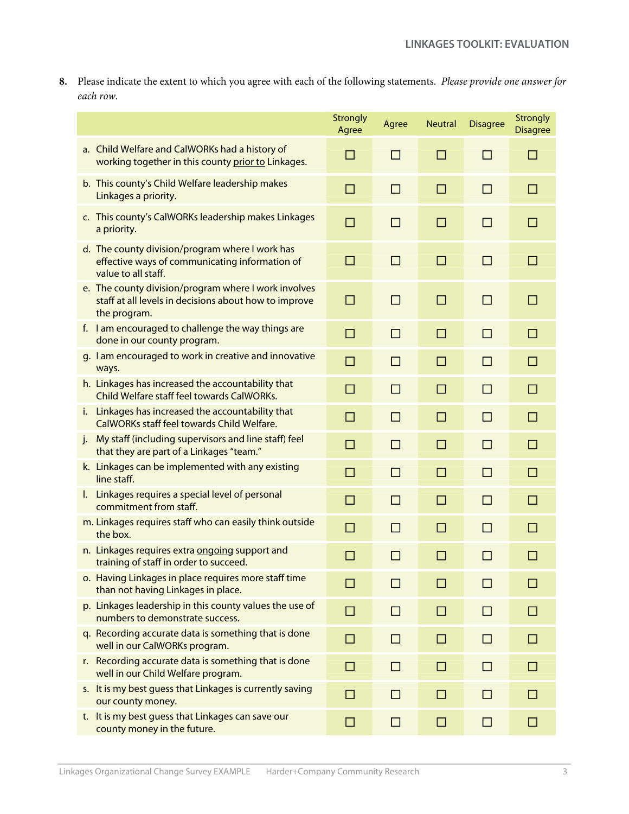**8.** Please indicate the extent to which you agree with each of the following statements. *Please provide one answer for each row.*

|                                                                                                                               | Strongly<br>Agree | Agree        | <b>Neutral</b> | <b>Disagree</b> | <b>Strongly</b><br><b>Disagree</b> |
|-------------------------------------------------------------------------------------------------------------------------------|-------------------|--------------|----------------|-----------------|------------------------------------|
| a. Child Welfare and CalWORKs had a history of<br>working together in this county prior to Linkages.                          | $\Box$            | □            | □              | □               | □                                  |
| b. This county's Child Welfare leadership makes<br>Linkages a priority.                                                       | $\Box$            | □            | □              | П               | □                                  |
| c. This county's CalWORKs leadership makes Linkages<br>a priority.                                                            | $\Box$            | П            | □              | П               | □                                  |
| d. The county division/program where I work has<br>effective ways of communicating information of<br>value to all staff.      | $\Box$            | $\Box$       | $\Box$         | $\Box$          | □                                  |
| e. The county division/program where I work involves<br>staff at all levels in decisions about how to improve<br>the program. | $\Box$            | □            | $\Box$         | □               | □                                  |
| f. I am encouraged to challenge the way things are<br>done in our county program.                                             | $\Box$            | $\Box$       | $\Box$         | $\Box$          | $\Box$                             |
| g. I am encouraged to work in creative and innovative<br>ways.                                                                | $\Box$            | $\Box$       | □              | П               | □                                  |
| h. Linkages has increased the accountability that<br>Child Welfare staff feel towards CalWORKs.                               | $\Box$            | $\Box$       | □              | $\Box$          | $\Box$                             |
| i. Linkages has increased the accountability that<br>CalWORKs staff feel towards Child Welfare.                               | $\Box$            | $\Box$       | □              | $\Box$          | □                                  |
| My staff (including supervisors and line staff) feel<br>$\mathbf{i}$ .<br>that they are part of a Linkages "team."            | $\Box$            | $\Box$       | $\Box$         | $\Box$          | $\Box$                             |
| k. Linkages can be implemented with any existing<br>line staff.                                                               | $\Box$            | □            | □              | $\Box$          | □                                  |
| I. Linkages requires a special level of personal<br>commitment from staff.                                                    | $\Box$            | $\Box$       | □              | $\Box$          | □                                  |
| m. Linkages requires staff who can easily think outside<br>the box.                                                           | □                 | $\Box$       | □              | $\Box$          | □                                  |
| n. Linkages requires extra ongoing support and<br>training of staff in order to succeed.                                      | $\Box$            | □            | □              | $\Box$          | □                                  |
| o. Having Linkages in place requires more staff time<br>than not having Linkages in place.                                    | n.                | H            | H              | ΙI              | $\mathsf{L}$                       |
| p. Linkages leadership in this county values the use of<br>numbers to demonstrate success.                                    | $\Box$            | $\Box$       | □              | П               | □                                  |
| q. Recording accurate data is something that is done<br>well in our CalWORKs program.                                         | H                 | $\mathsf{L}$ | $\Box$         | П               | $\blacksquare$                     |
| r. Recording accurate data is something that is done<br>well in our Child Welfare program.                                    | $\mathsf{L}$      | П            | П              | П               | П                                  |
| s. It is my best quess that Linkages is currently saving<br>our county money.                                                 | П                 | H            | П              | П               | $\mathsf{L}$                       |
| t. It is my best guess that Linkages can save our<br>county money in the future.                                              | $\Box$            | □            | $\Box$         | $\Box$          | П                                  |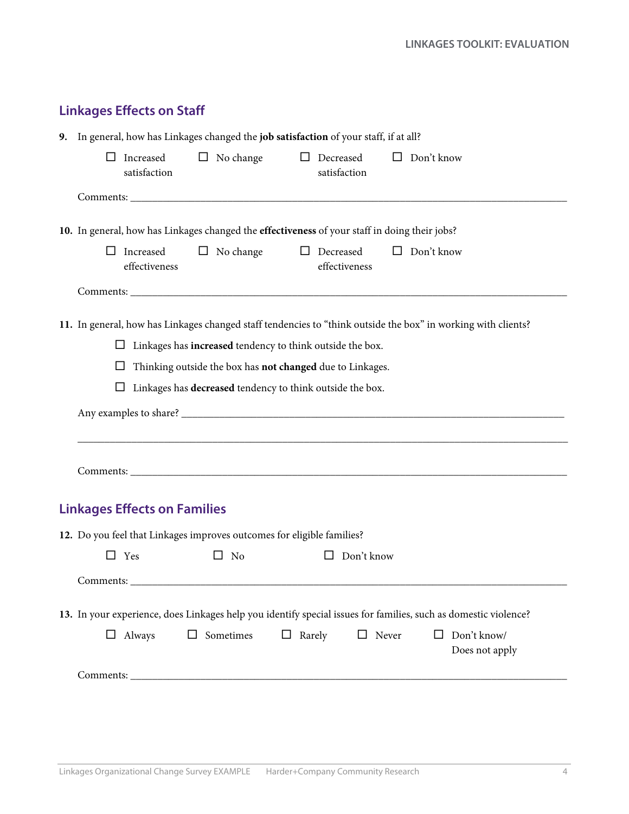| <b>Linkages Effects on Staff</b> |  |  |
|----------------------------------|--|--|
|----------------------------------|--|--|

| 9. In general, how has Linkages changed the job satisfaction of your staff, if at all?                                                                                          |  |  |  |  |  |  |
|---------------------------------------------------------------------------------------------------------------------------------------------------------------------------------|--|--|--|--|--|--|
| $\Box$ Decreased<br>Increased<br>$\Box$ Don't know<br>$\Box$ No change<br>$\mathsf{L}$<br>satisfaction<br>satisfaction                                                          |  |  |  |  |  |  |
|                                                                                                                                                                                 |  |  |  |  |  |  |
| 10. In general, how has Linkages changed the effectiveness of your staff in doing their jobs?                                                                                   |  |  |  |  |  |  |
| Increased<br>$\Box$ No change<br>$\Box$ Decreased<br>$\Box$ Don't know<br>ப<br>effectiveness<br>effectiveness                                                                   |  |  |  |  |  |  |
|                                                                                                                                                                                 |  |  |  |  |  |  |
| 11. In general, how has Linkages changed staff tendencies to "think outside the box" in working with clients?<br>Linkages has increased tendency to think outside the box.<br>ப |  |  |  |  |  |  |
| Thinking outside the box has not changed due to Linkages.<br>ப                                                                                                                  |  |  |  |  |  |  |
| Linkages has decreased tendency to think outside the box.<br>□                                                                                                                  |  |  |  |  |  |  |
|                                                                                                                                                                                 |  |  |  |  |  |  |
|                                                                                                                                                                                 |  |  |  |  |  |  |
|                                                                                                                                                                                 |  |  |  |  |  |  |
| <b>Linkages Effects on Families</b>                                                                                                                                             |  |  |  |  |  |  |
| 12. Do you feel that Linkages improves outcomes for eligible families?                                                                                                          |  |  |  |  |  |  |
| $\Box$ No<br>Don't know<br>$\Box$ Yes<br>$\Box$                                                                                                                                 |  |  |  |  |  |  |
|                                                                                                                                                                                 |  |  |  |  |  |  |
| 13. In your experience, does Linkages help you identify special issues for families, such as domestic violence?                                                                 |  |  |  |  |  |  |
| Sometimes<br>$\Box$ Rarely<br>$\Box$ Never<br>Don't know/<br>$\Box$ Always<br>$\Box$<br>$\mathsf{L}$<br>Does not apply                                                          |  |  |  |  |  |  |
|                                                                                                                                                                                 |  |  |  |  |  |  |
|                                                                                                                                                                                 |  |  |  |  |  |  |